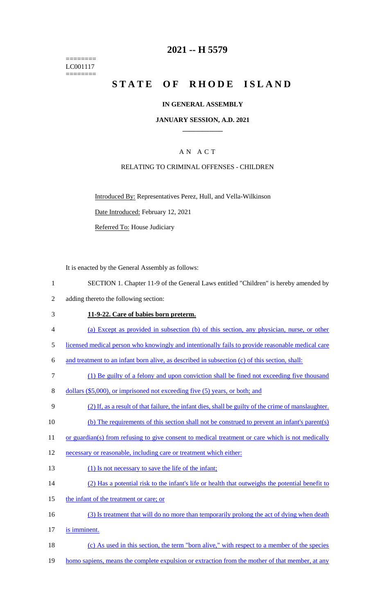======== LC001117 ========

# **2021 -- H 5579**

# **STATE OF RHODE ISLAND**

### **IN GENERAL ASSEMBLY**

### **JANUARY SESSION, A.D. 2021 \_\_\_\_\_\_\_\_\_\_\_\_**

# A N A C T

### RELATING TO CRIMINAL OFFENSES - CHILDREN

Introduced By: Representatives Perez, Hull, and Vella-Wilkinson

Date Introduced: February 12, 2021

Referred To: House Judiciary

It is enacted by the General Assembly as follows:

- 1 SECTION 1. Chapter 11-9 of the General Laws entitled "Children" is hereby amended by
- 2 adding thereto the following section:

#### 3 **11-9-22. Care of babies born preterm.**

- 4 (a) Except as provided in subsection (b) of this section, any physician, nurse, or other
- 5 licensed medical person who knowingly and intentionally fails to provide reasonable medical care

6 and treatment to an infant born alive, as described in subsection (c) of this section, shall:

- 7 (1) Be guilty of a felony and upon conviction shall be fined not exceeding five thousand
- 8 dollars (\$5,000), or imprisoned not exceeding five (5) years, or both; and
- 9 (2) If, as a result of that failure, the infant dies, shall be guilty of the crime of manslaughter.
- 10 (b) The requirements of this section shall not be construed to prevent an infant's parent(s)
- 11 or guardian(s) from refusing to give consent to medical treatment or care which is not medically
- 12 necessary or reasonable, including care or treatment which either:
- 13 (1) Is not necessary to save the life of the infant;
- 14 (2) Has a potential risk to the infant's life or health that outweighs the potential benefit to
- 15 the infant of the treatment or care; or
- 16 (3) Is treatment that will do no more than temporarily prolong the act of dying when death
- 17 is imminent.
- 18 (c) As used in this section, the term "born alive," with respect to a member of the species
- 19 homo sapiens, means the complete expulsion or extraction from the mother of that member, at any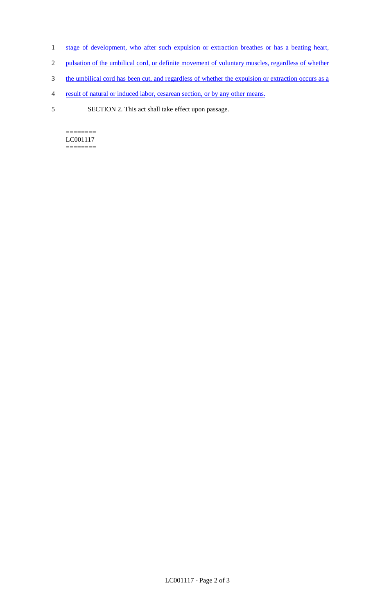- 1 stage of development, who after such expulsion or extraction breathes or has a beating heart,
- 2 pulsation of the umbilical cord, or definite movement of voluntary muscles, regardless of whether
- 3 the umbilical cord has been cut, and regardless of whether the expulsion or extraction occurs as a
- 4 result of natural or induced labor, cesarean section, or by any other means.
- 5 SECTION 2. This act shall take effect upon passage.

 $=$ LC001117 ========